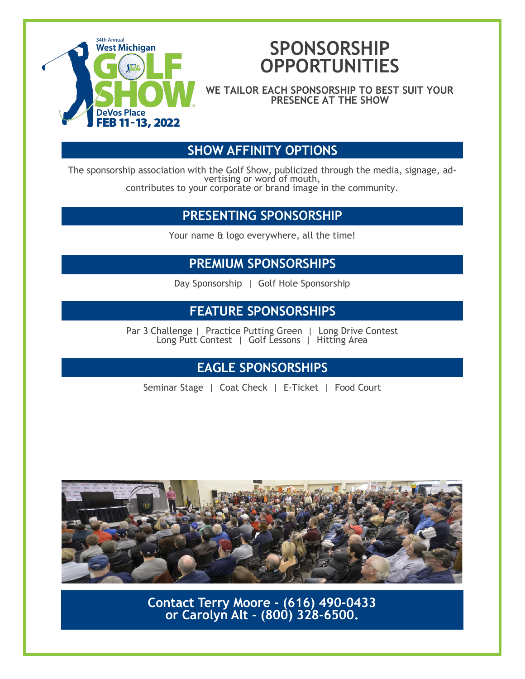

## **SPONSORSHIP OPPORTUNITIES**

**WE TAILOR EACH SPONSORSHIP TO BEST SUIT YOUR PRESENCE AT THE SHOW**

#### **SHOW AFFINITY OPTIONS**

The sponsorship association with the Golf Show, publicized through the media, signage, advertising or word of mouth, contributes to your corporate or brand image in the community.

#### **PRESENTING SPONSORSHIP**

Your name & logo everywhere, all the time!

#### **PREMIUM SPONSORSHIPS**

Day Sponsorship | Golf Hole Sponsorship

#### **FEATURE SPONSORSHIPS**

Par 3 Challenge | Practice Putting Green | Long Drive Contest Long Putt Contest | Golf Lessons | Hitting Area

### **EAGLE SPONSORSHIPS**

Seminar Stage | Coat Check | E-Ticket | Food Court



**Contact Terry Moore - (616) 490-0433 or Carolyn Alt - (800) 328-6500.**